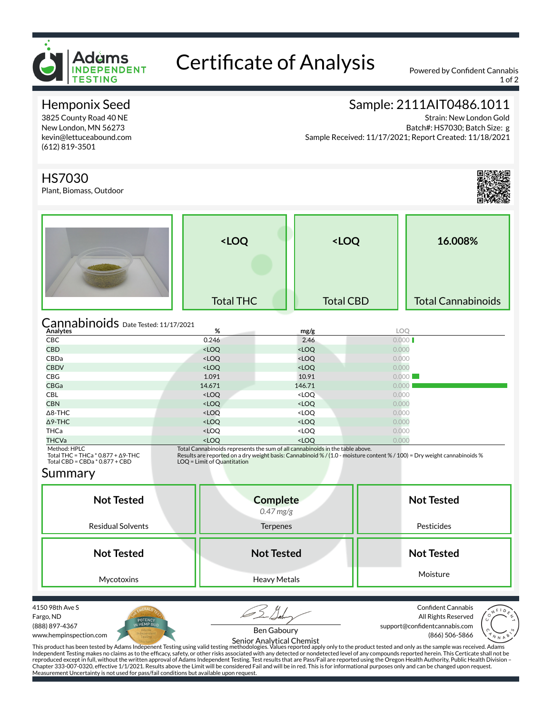

# Certificate of Analysis Powered by Confident Cannabis

1 of 2

# Hemponix Seed

3825 County Road 40 NE New London, MN 56273 kevin@lettuceabound.com (612) 819-3501

# Sample: 2111AIT0486.1011

Strain: New London Gold Batch#: HS7030; Batch Size: g Sample Received: 11/17/2021; Report Created: 11/18/2021

## HS7030

Plant, Biomass, Outdoor



|                                      | <loq< th=""><th><loq< th=""><th>16.008%</th></loq<></th></loq<> | <loq< th=""><th>16.008%</th></loq<> | 16.008%                   |
|--------------------------------------|-----------------------------------------------------------------|-------------------------------------|---------------------------|
|                                      | <b>Total THC</b>                                                | <b>Total CBD</b>                    | <b>Total Cannabinoids</b> |
| Cannabinoids Date Tested: 11/17/2021 | %                                                               | mg/g                                | LOO<br>___                |

| Analytes             | %                                                                            | mg/g                              | LOQ   |
|----------------------|------------------------------------------------------------------------------|-----------------------------------|-------|
| <b>CBC</b>           | 0.246                                                                        | 2.46                              | 0.000 |
| <b>CBD</b>           | $<$ LOQ                                                                      | $<$ LOQ                           | 0.000 |
| CBDa                 | <loq< td=""><td><loq< td=""><td>0.000</td></loq<></td></loq<>                | <loq< td=""><td>0.000</td></loq<> | 0.000 |
| <b>CBDV</b>          | <loq< td=""><td><math>&lt;</math>LOQ</td><td>0.000</td></loq<>               | $<$ LOQ                           | 0.000 |
| CBG                  | 1.091                                                                        | 10.91                             | 0.000 |
| <b>CBGa</b>          | 14.671                                                                       | 146.71                            | 0.000 |
| <b>CBL</b>           | <loq< td=""><td><loq< td=""><td>0.000</td></loq<></td></loq<>                | <loq< td=""><td>0.000</td></loq<> | 0.000 |
| <b>CBN</b>           | <loq< td=""><td><loq< td=""><td>0.000</td></loq<></td></loq<>                | <loq< td=""><td>0.000</td></loq<> | 0.000 |
| $\Delta$ 8-THC       | <loq< td=""><td><loq< td=""><td>0.000</td></loq<></td></loq<>                | <loq< td=""><td>0.000</td></loq<> | 0.000 |
| $\Delta$ 9-THC       | <loq< td=""><td><loq< td=""><td>0.000</td></loq<></td></loq<>                | <loq< td=""><td>0.000</td></loq<> | 0.000 |
| THCa                 | <loq< td=""><td><loq< td=""><td>0.000</td></loq<></td></loq<>                | <loq< td=""><td>0.000</td></loq<> | 0.000 |
| THCVa                | <loq< td=""><td><loq< td=""><td>0.000</td></loq<></td></loq<>                | <loq< td=""><td>0.000</td></loq<> | 0.000 |
| $Mathod$ -HDI $\cap$ | Total Cannabinoids represents the sum of all cannabinoids in the table above |                                   |       |

Method: HPLC<br>Total THC = THCa \* 0.877 + Δ9-THC<br>Total CBD = CBDa \* 0.877 + CBD

Total Cannabinoids represents the sum of all cannabinoids in the table above.<br>Results are reported on a dry weight basis: Cannabinoid % / (1.0 - moisture content % / 100) = Dry weight cannabinoids %<br>LOQ = Limit of Quantita

#### Summary

| <b>Not Tested</b><br><b>Residual Solvents</b> | <b>Complete</b><br>$0.47$ mg/g<br><b>Terpenes</b> | <b>Not Tested</b><br>Pesticides            |  |  |
|-----------------------------------------------|---------------------------------------------------|--------------------------------------------|--|--|
| <b>Not Tested</b>                             | <b>Not Tested</b>                                 | <b>Not Tested</b>                          |  |  |
| Mycotoxins                                    | Heavy Metals                                      | Moisture                                   |  |  |
| 4150 98th Ave S                               |                                                   | <b>Confident Cannabis</b><br>$\sqrt{4F10}$ |  |  |

Fargo, ND (888) 897-4367 www.hempinspection.com



(866) 506-5866 Ben Gaboury Senior Analytical Chemist

All Rights Reserved support@confidentcannabis.com



This product has been tested by Adams Indepenent Testing using valid testing methodologies. Values reported apply only to the product tested and only as the sample was received. Adams Independent Testing makes no claims as to the efficacy, safety, or other risks associated with any detected or nondetected level of any compounds reported herein. This Certicate shall not be<br>reproduced except in full, with Measurement Uncertainty is not used for pass/fail conditions but available upon request.